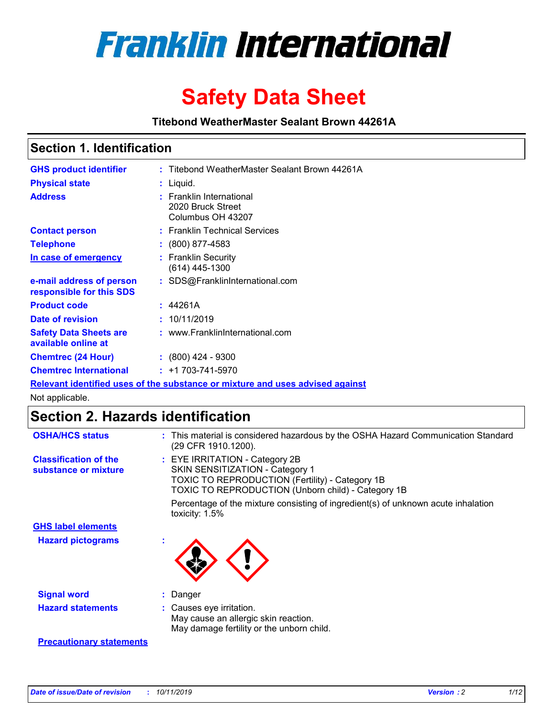

# **Safety Data Sheet**

**Titebond WeatherMaster Sealant Brown 44261A**

### **Section 1. Identification**

| <b>GHS product identifier</b>                                                 |           | : Titebond WeatherMaster Sealant Brown 44261A                      |  |  |  |
|-------------------------------------------------------------------------------|-----------|--------------------------------------------------------------------|--|--|--|
| <b>Physical state</b>                                                         | : Liquid. |                                                                    |  |  |  |
| <b>Address</b>                                                                |           | : Franklin International<br>2020 Bruck Street<br>Columbus OH 43207 |  |  |  |
| <b>Contact person</b>                                                         |           | : Franklin Technical Services                                      |  |  |  |
| <b>Telephone</b>                                                              |           | $\colon$ (800) 877-4583                                            |  |  |  |
| In case of emergency                                                          |           | : Franklin Security<br>$(614)$ 445-1300                            |  |  |  |
| e-mail address of person<br>responsible for this SDS                          |           | : SDS@FranklinInternational.com                                    |  |  |  |
| <b>Product code</b>                                                           |           | : 44261A                                                           |  |  |  |
| Date of revision                                                              |           | : 10/11/2019                                                       |  |  |  |
| <b>Safety Data Sheets are</b><br>available online at                          |           | : www.FranklinInternational.com                                    |  |  |  |
| <b>Chemtrec (24 Hour)</b>                                                     |           | $: (800)$ 424 - 9300                                               |  |  |  |
| <b>Chemtrec International</b>                                                 |           | $: +1703 - 741 - 5970$                                             |  |  |  |
| Relevant identified uses of the substance or mixture and uses advised against |           |                                                                    |  |  |  |

Not applicable.

## **Section 2. Hazards identification**

| <b>OSHA/HCS status</b>                               | : This material is considered hazardous by the OSHA Hazard Communication Standard<br>(29 CFR 1910.1200).                                                                                 |
|------------------------------------------------------|------------------------------------------------------------------------------------------------------------------------------------------------------------------------------------------|
| <b>Classification of the</b><br>substance or mixture | : EYE IRRITATION - Category 2B<br>SKIN SENSITIZATION - Category 1<br><b>TOXIC TO REPRODUCTION (Fertility) - Category 1B</b><br><b>TOXIC TO REPRODUCTION (Unborn child) - Category 1B</b> |
|                                                      | Percentage of the mixture consisting of ingredient(s) of unknown acute inhalation<br>toxicity: $1.5\%$                                                                                   |
| <b>GHS label elements</b>                            |                                                                                                                                                                                          |
| <b>Hazard pictograms</b>                             |                                                                                                                                                                                          |
| <b>Signal word</b>                                   | : Danger                                                                                                                                                                                 |
| <b>Hazard statements</b>                             | : Causes eye irritation.<br>May cause an allergic skin reaction.<br>May damage fertility or the unborn child.                                                                            |
| <b>Precautionary statements</b>                      |                                                                                                                                                                                          |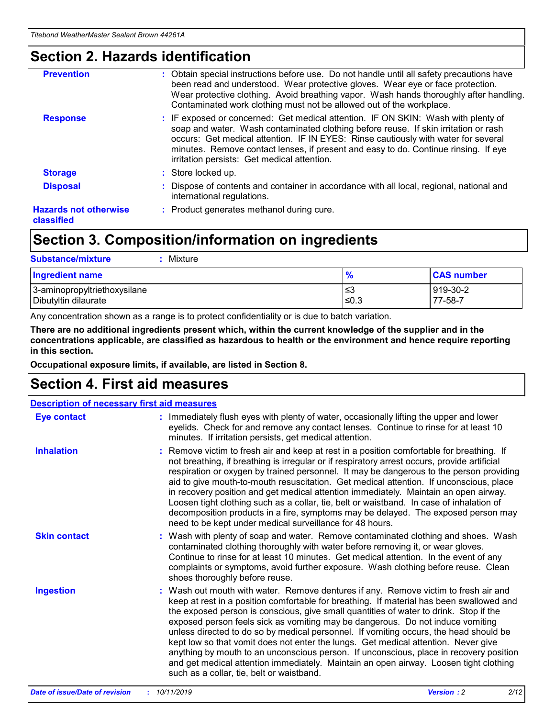### **Section 2. Hazards identification**

| <b>Prevention</b>                          | : Obtain special instructions before use. Do not handle until all safety precautions have<br>been read and understood. Wear protective gloves. Wear eye or face protection.<br>Wear protective clothing. Avoid breathing vapor. Wash hands thoroughly after handling.<br>Contaminated work clothing must not be allowed out of the workplace.                                                        |
|--------------------------------------------|------------------------------------------------------------------------------------------------------------------------------------------------------------------------------------------------------------------------------------------------------------------------------------------------------------------------------------------------------------------------------------------------------|
| <b>Response</b>                            | : IF exposed or concerned: Get medical attention. IF ON SKIN: Wash with plenty of<br>soap and water. Wash contaminated clothing before reuse. If skin irritation or rash<br>occurs: Get medical attention. IF IN EYES: Rinse cautiously with water for several<br>minutes. Remove contact lenses, if present and easy to do. Continue rinsing. If eye<br>irritation persists: Get medical attention. |
| <b>Storage</b>                             | : Store locked up.                                                                                                                                                                                                                                                                                                                                                                                   |
| <b>Disposal</b>                            | : Dispose of contents and container in accordance with all local, regional, national and<br>international regulations.                                                                                                                                                                                                                                                                               |
| <b>Hazards not otherwise</b><br>classified | : Product generates methanol during cure.                                                                                                                                                                                                                                                                                                                                                            |
|                                            |                                                                                                                                                                                                                                                                                                                                                                                                      |

### **Section 3. Composition/information on ingredients**

| <b>Substance/mixture</b><br>: Mixture                |               |                     |
|------------------------------------------------------|---------------|---------------------|
| Ingredient name                                      | $\frac{9}{6}$ | <b>CAS number</b>   |
| 3-aminopropyltriethoxysilane<br>Dibutyltin dilaurate | צ≥<br>≤0.3    | 919-30-2<br>77-58-7 |

Any concentration shown as a range is to protect confidentiality or is due to batch variation.

**There are no additional ingredients present which, within the current knowledge of the supplier and in the concentrations applicable, are classified as hazardous to health or the environment and hence require reporting in this section.**

**Occupational exposure limits, if available, are listed in Section 8.**

### **Section 4. First aid measures**

| <b>Description of necessary first aid measures</b> |                                                                                                                                                                                                                                                                                                                                                                                                                                                                                                                                                                                                                                                                                                                                                                           |  |  |  |
|----------------------------------------------------|---------------------------------------------------------------------------------------------------------------------------------------------------------------------------------------------------------------------------------------------------------------------------------------------------------------------------------------------------------------------------------------------------------------------------------------------------------------------------------------------------------------------------------------------------------------------------------------------------------------------------------------------------------------------------------------------------------------------------------------------------------------------------|--|--|--|
| <b>Eye contact</b>                                 | : Immediately flush eyes with plenty of water, occasionally lifting the upper and lower<br>eyelids. Check for and remove any contact lenses. Continue to rinse for at least 10<br>minutes. If irritation persists, get medical attention.                                                                                                                                                                                                                                                                                                                                                                                                                                                                                                                                 |  |  |  |
| <b>Inhalation</b>                                  | : Remove victim to fresh air and keep at rest in a position comfortable for breathing. If<br>not breathing, if breathing is irregular or if respiratory arrest occurs, provide artificial<br>respiration or oxygen by trained personnel. It may be dangerous to the person providing<br>aid to give mouth-to-mouth resuscitation. Get medical attention. If unconscious, place<br>in recovery position and get medical attention immediately. Maintain an open airway.<br>Loosen tight clothing such as a collar, tie, belt or waistband. In case of inhalation of<br>decomposition products in a fire, symptoms may be delayed. The exposed person may<br>need to be kept under medical surveillance for 48 hours.                                                       |  |  |  |
| <b>Skin contact</b>                                | : Wash with plenty of soap and water. Remove contaminated clothing and shoes. Wash<br>contaminated clothing thoroughly with water before removing it, or wear gloves.<br>Continue to rinse for at least 10 minutes. Get medical attention. In the event of any<br>complaints or symptoms, avoid further exposure. Wash clothing before reuse. Clean<br>shoes thoroughly before reuse.                                                                                                                                                                                                                                                                                                                                                                                     |  |  |  |
| <b>Ingestion</b>                                   | : Wash out mouth with water. Remove dentures if any. Remove victim to fresh air and<br>keep at rest in a position comfortable for breathing. If material has been swallowed and<br>the exposed person is conscious, give small quantities of water to drink. Stop if the<br>exposed person feels sick as vomiting may be dangerous. Do not induce vomiting<br>unless directed to do so by medical personnel. If vomiting occurs, the head should be<br>kept low so that vomit does not enter the lungs. Get medical attention. Never give<br>anything by mouth to an unconscious person. If unconscious, place in recovery position<br>and get medical attention immediately. Maintain an open airway. Loosen tight clothing<br>such as a collar, tie, belt or waistband. |  |  |  |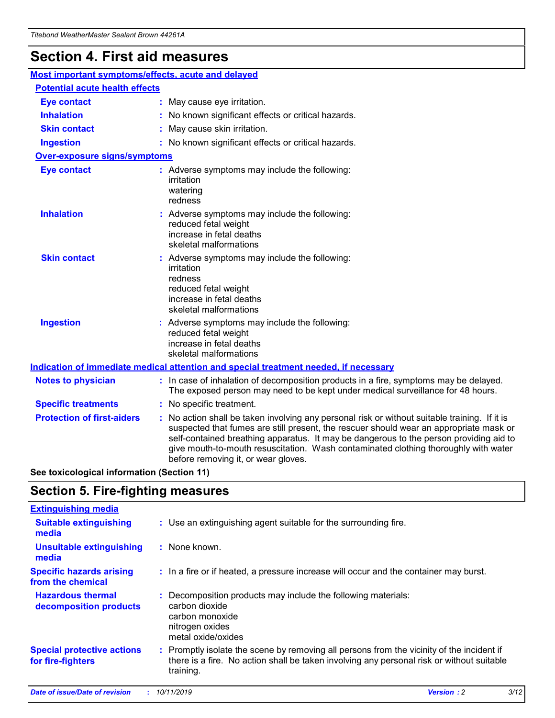## **Section 4. First aid measures**

| Most important symptoms/effects, acute and delayed |  |                                                                                                                                                                                                                                                                                                                                                                                                                 |  |
|----------------------------------------------------|--|-----------------------------------------------------------------------------------------------------------------------------------------------------------------------------------------------------------------------------------------------------------------------------------------------------------------------------------------------------------------------------------------------------------------|--|
| <b>Potential acute health effects</b>              |  |                                                                                                                                                                                                                                                                                                                                                                                                                 |  |
| Eye contact                                        |  | : May cause eye irritation.                                                                                                                                                                                                                                                                                                                                                                                     |  |
| <b>Inhalation</b>                                  |  | : No known significant effects or critical hazards.                                                                                                                                                                                                                                                                                                                                                             |  |
| <b>Skin contact</b>                                |  | : May cause skin irritation.                                                                                                                                                                                                                                                                                                                                                                                    |  |
| <b>Ingestion</b>                                   |  | : No known significant effects or critical hazards.                                                                                                                                                                                                                                                                                                                                                             |  |
| Over-exposure signs/symptoms                       |  |                                                                                                                                                                                                                                                                                                                                                                                                                 |  |
| <b>Eye contact</b>                                 |  | : Adverse symptoms may include the following:<br>irritation<br>watering<br>redness                                                                                                                                                                                                                                                                                                                              |  |
| <b>Inhalation</b>                                  |  | : Adverse symptoms may include the following:<br>reduced fetal weight<br>increase in fetal deaths<br>skeletal malformations                                                                                                                                                                                                                                                                                     |  |
| <b>Skin contact</b>                                |  | : Adverse symptoms may include the following:<br>irritation<br>redness<br>reduced fetal weight<br>increase in fetal deaths<br>skeletal malformations                                                                                                                                                                                                                                                            |  |
| <b>Ingestion</b>                                   |  | : Adverse symptoms may include the following:<br>reduced fetal weight<br>increase in fetal deaths<br>skeletal malformations                                                                                                                                                                                                                                                                                     |  |
|                                                    |  | <b>Indication of immediate medical attention and special treatment needed, if necessary</b>                                                                                                                                                                                                                                                                                                                     |  |
| <b>Notes to physician</b>                          |  | : In case of inhalation of decomposition products in a fire, symptoms may be delayed.<br>The exposed person may need to be kept under medical surveillance for 48 hours.                                                                                                                                                                                                                                        |  |
| <b>Specific treatments</b>                         |  | : No specific treatment.                                                                                                                                                                                                                                                                                                                                                                                        |  |
| <b>Protection of first-aiders</b>                  |  | : No action shall be taken involving any personal risk or without suitable training. If it is<br>suspected that fumes are still present, the rescuer should wear an appropriate mask or<br>self-contained breathing apparatus. It may be dangerous to the person providing aid to<br>give mouth-to-mouth resuscitation. Wash contaminated clothing thoroughly with water<br>before removing it, or wear gloves. |  |

**See toxicological information (Section 11)**

### **Section 5. Fire-fighting measures**

| <b>Extinguishing media</b>                             |                                                                                                                                                                                                     |
|--------------------------------------------------------|-----------------------------------------------------------------------------------------------------------------------------------------------------------------------------------------------------|
| <b>Suitable extinguishing</b><br>media                 | : Use an extinguishing agent suitable for the surrounding fire.                                                                                                                                     |
| <b>Unsuitable extinguishing</b><br>media               | $:$ None known.                                                                                                                                                                                     |
| <b>Specific hazards arising</b><br>from the chemical   | : In a fire or if heated, a pressure increase will occur and the container may burst.                                                                                                               |
| <b>Hazardous thermal</b><br>decomposition products     | : Decomposition products may include the following materials:<br>carbon dioxide<br>carbon monoxide<br>nitrogen oxides<br>metal oxide/oxides                                                         |
| <b>Special protective actions</b><br>for fire-fighters | : Promptly isolate the scene by removing all persons from the vicinity of the incident if<br>there is a fire. No action shall be taken involving any personal risk or without suitable<br>training. |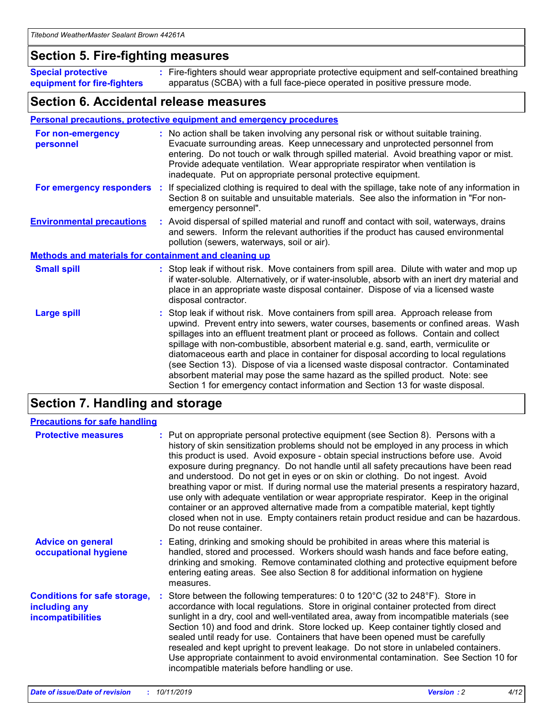### **Section 5. Fire-fighting measures**

**Special protective equipment for fire-fighters** Fire-fighters should wear appropriate protective equipment and self-contained breathing **:** apparatus (SCBA) with a full face-piece operated in positive pressure mode.

### **Section 6. Accidental release measures**

#### **Personal precautions, protective equipment and emergency procedures**

| For non-emergency<br>personnel   |                                                              | : No action shall be taken involving any personal risk or without suitable training.<br>Evacuate surrounding areas. Keep unnecessary and unprotected personnel from<br>entering. Do not touch or walk through spilled material. Avoid breathing vapor or mist.<br>Provide adequate ventilation. Wear appropriate respirator when ventilation is<br>inadequate. Put on appropriate personal protective equipment.                                                                                                                                                                                                                                                                                             |  |  |  |
|----------------------------------|--------------------------------------------------------------|--------------------------------------------------------------------------------------------------------------------------------------------------------------------------------------------------------------------------------------------------------------------------------------------------------------------------------------------------------------------------------------------------------------------------------------------------------------------------------------------------------------------------------------------------------------------------------------------------------------------------------------------------------------------------------------------------------------|--|--|--|
| For emergency responders         |                                                              | : If specialized clothing is required to deal with the spillage, take note of any information in<br>Section 8 on suitable and unsuitable materials. See also the information in "For non-<br>emergency personnel".                                                                                                                                                                                                                                                                                                                                                                                                                                                                                           |  |  |  |
| <b>Environmental precautions</b> |                                                              | : Avoid dispersal of spilled material and runoff and contact with soil, waterways, drains<br>and sewers. Inform the relevant authorities if the product has caused environmental<br>pollution (sewers, waterways, soil or air).                                                                                                                                                                                                                                                                                                                                                                                                                                                                              |  |  |  |
|                                  | <b>Methods and materials for containment and cleaning up</b> |                                                                                                                                                                                                                                                                                                                                                                                                                                                                                                                                                                                                                                                                                                              |  |  |  |
| <b>Small spill</b>               |                                                              | : Stop leak if without risk. Move containers from spill area. Dilute with water and mop up<br>if water-soluble. Alternatively, or if water-insoluble, absorb with an inert dry material and<br>place in an appropriate waste disposal container. Dispose of via a licensed waste<br>disposal contractor.                                                                                                                                                                                                                                                                                                                                                                                                     |  |  |  |
| <b>Large spill</b>               |                                                              | : Stop leak if without risk. Move containers from spill area. Approach release from<br>upwind. Prevent entry into sewers, water courses, basements or confined areas. Wash<br>spillages into an effluent treatment plant or proceed as follows. Contain and collect<br>spillage with non-combustible, absorbent material e.g. sand, earth, vermiculite or<br>diatomaceous earth and place in container for disposal according to local regulations<br>(see Section 13). Dispose of via a licensed waste disposal contractor. Contaminated<br>absorbent material may pose the same hazard as the spilled product. Note: see<br>Section 1 for emergency contact information and Section 13 for waste disposal. |  |  |  |

### **Section 7. Handling and storage**

| <b>Precautions for safe handling</b>                                             |                                                                                                                                                                                                                                                                                                                                                                                                                                                                                                                                                                                                                                                                                                                                                                                                                                                  |
|----------------------------------------------------------------------------------|--------------------------------------------------------------------------------------------------------------------------------------------------------------------------------------------------------------------------------------------------------------------------------------------------------------------------------------------------------------------------------------------------------------------------------------------------------------------------------------------------------------------------------------------------------------------------------------------------------------------------------------------------------------------------------------------------------------------------------------------------------------------------------------------------------------------------------------------------|
| <b>Protective measures</b>                                                       | : Put on appropriate personal protective equipment (see Section 8). Persons with a<br>history of skin sensitization problems should not be employed in any process in which<br>this product is used. Avoid exposure - obtain special instructions before use. Avoid<br>exposure during pregnancy. Do not handle until all safety precautions have been read<br>and understood. Do not get in eyes or on skin or clothing. Do not ingest. Avoid<br>breathing vapor or mist. If during normal use the material presents a respiratory hazard,<br>use only with adequate ventilation or wear appropriate respirator. Keep in the original<br>container or an approved alternative made from a compatible material, kept tightly<br>closed when not in use. Empty containers retain product residue and can be hazardous.<br>Do not reuse container. |
| <b>Advice on general</b><br>occupational hygiene                                 | : Eating, drinking and smoking should be prohibited in areas where this material is<br>handled, stored and processed. Workers should wash hands and face before eating,<br>drinking and smoking. Remove contaminated clothing and protective equipment before<br>entering eating areas. See also Section 8 for additional information on hygiene<br>measures.                                                                                                                                                                                                                                                                                                                                                                                                                                                                                    |
| <b>Conditions for safe storage,</b><br>including any<br><b>incompatibilities</b> | Store between the following temperatures: 0 to 120°C (32 to 248°F). Store in<br>accordance with local regulations. Store in original container protected from direct<br>sunlight in a dry, cool and well-ventilated area, away from incompatible materials (see<br>Section 10) and food and drink. Store locked up. Keep container tightly closed and<br>sealed until ready for use. Containers that have been opened must be carefully<br>resealed and kept upright to prevent leakage. Do not store in unlabeled containers.<br>Use appropriate containment to avoid environmental contamination. See Section 10 for<br>incompatible materials before handling or use.                                                                                                                                                                         |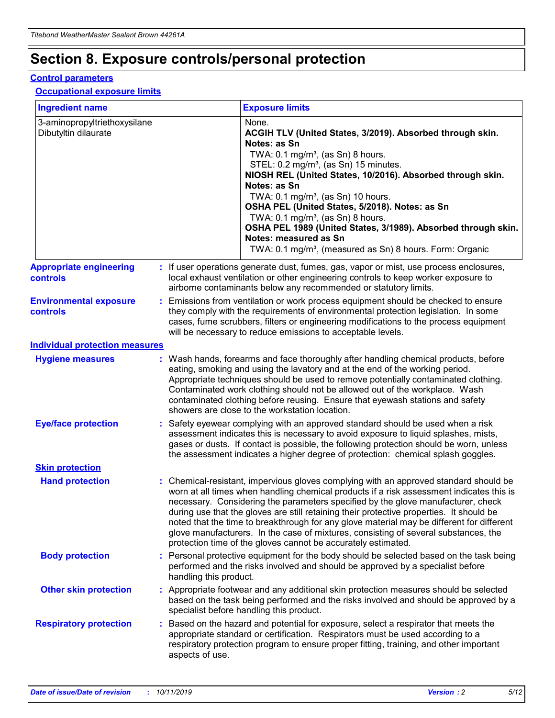## **Section 8. Exposure controls/personal protection**

#### **Control parameters**

#### **Occupational exposure limits**

| <b>Ingredient name</b>                               |    |                                          | <b>Exposure limits</b>                                                                                                                                                                                                                                                                                                                                                                                                                                                                                                                                                                                                 |
|------------------------------------------------------|----|------------------------------------------|------------------------------------------------------------------------------------------------------------------------------------------------------------------------------------------------------------------------------------------------------------------------------------------------------------------------------------------------------------------------------------------------------------------------------------------------------------------------------------------------------------------------------------------------------------------------------------------------------------------------|
| 3-aminopropyltriethoxysilane<br>Dibutyltin dilaurate |    |                                          | None.<br>ACGIH TLV (United States, 3/2019). Absorbed through skin.<br>Notes: as Sn<br>TWA: 0.1 mg/m <sup>3</sup> , (as Sn) 8 hours.<br>STEL: 0.2 mg/m <sup>3</sup> , (as Sn) 15 minutes.<br>NIOSH REL (United States, 10/2016). Absorbed through skin.<br>Notes: as Sn<br>TWA: 0.1 mg/m <sup>3</sup> , (as Sn) 10 hours.<br>OSHA PEL (United States, 5/2018). Notes: as Sn<br>TWA: $0.1 \text{ mg/m}^3$ , (as Sn) 8 hours.<br>OSHA PEL 1989 (United States, 3/1989). Absorbed through skin.<br>Notes: measured as Sn<br>TWA: 0.1 mg/m <sup>3</sup> , (measured as Sn) 8 hours. Form: Organic                           |
| <b>Appropriate engineering</b><br>controls           |    |                                          | : If user operations generate dust, fumes, gas, vapor or mist, use process enclosures,<br>local exhaust ventilation or other engineering controls to keep worker exposure to<br>airborne contaminants below any recommended or statutory limits.                                                                                                                                                                                                                                                                                                                                                                       |
| <b>Environmental exposure</b><br><b>controls</b>     |    |                                          | Emissions from ventilation or work process equipment should be checked to ensure<br>they comply with the requirements of environmental protection legislation. In some<br>cases, fume scrubbers, filters or engineering modifications to the process equipment<br>will be necessary to reduce emissions to acceptable levels.                                                                                                                                                                                                                                                                                          |
| <b>Individual protection measures</b>                |    |                                          |                                                                                                                                                                                                                                                                                                                                                                                                                                                                                                                                                                                                                        |
| <b>Hygiene measures</b>                              |    |                                          | : Wash hands, forearms and face thoroughly after handling chemical products, before<br>eating, smoking and using the lavatory and at the end of the working period.<br>Appropriate techniques should be used to remove potentially contaminated clothing.<br>Contaminated work clothing should not be allowed out of the workplace. Wash<br>contaminated clothing before reusing. Ensure that eyewash stations and safety<br>showers are close to the workstation location.                                                                                                                                            |
| <b>Eye/face protection</b>                           |    |                                          | : Safety eyewear complying with an approved standard should be used when a risk<br>assessment indicates this is necessary to avoid exposure to liquid splashes, mists,<br>gases or dusts. If contact is possible, the following protection should be worn, unless<br>the assessment indicates a higher degree of protection: chemical splash goggles.                                                                                                                                                                                                                                                                  |
| <b>Skin protection</b>                               |    |                                          |                                                                                                                                                                                                                                                                                                                                                                                                                                                                                                                                                                                                                        |
| <b>Hand protection</b>                               |    |                                          | : Chemical-resistant, impervious gloves complying with an approved standard should be<br>worn at all times when handling chemical products if a risk assessment indicates this is<br>necessary. Considering the parameters specified by the glove manufacturer, check<br>during use that the gloves are still retaining their protective properties. It should be<br>noted that the time to breakthrough for any glove material may be different for different<br>glove manufacturers. In the case of mixtures, consisting of several substances, the<br>protection time of the gloves cannot be accurately estimated. |
| <b>Body protection</b>                               |    | handling this product.                   | Personal protective equipment for the body should be selected based on the task being<br>performed and the risks involved and should be approved by a specialist before                                                                                                                                                                                                                                                                                                                                                                                                                                                |
| <b>Other skin protection</b>                         |    | specialist before handling this product. | : Appropriate footwear and any additional skin protection measures should be selected<br>based on the task being performed and the risks involved and should be approved by a                                                                                                                                                                                                                                                                                                                                                                                                                                          |
| <b>Respiratory protection</b>                        | ÷. | aspects of use.                          | Based on the hazard and potential for exposure, select a respirator that meets the<br>appropriate standard or certification. Respirators must be used according to a<br>respiratory protection program to ensure proper fitting, training, and other important                                                                                                                                                                                                                                                                                                                                                         |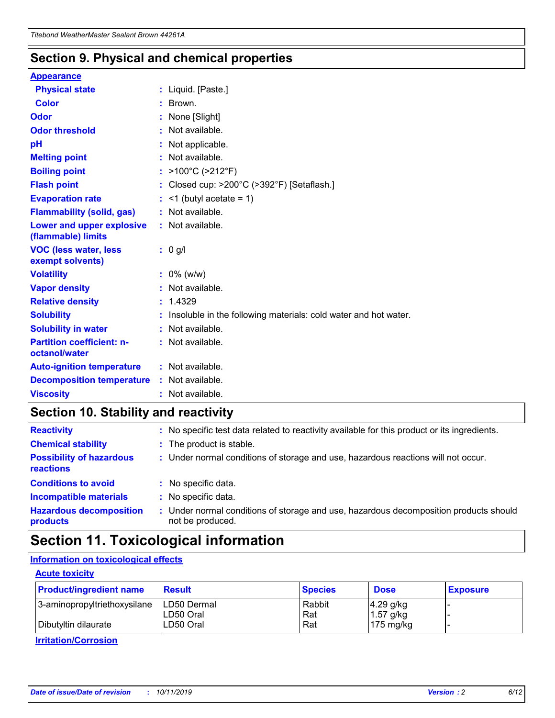### **Section 9. Physical and chemical properties**

#### **Appearance**

| <b>Physical state</b>                             | : Liquid. [Paste.]                                              |
|---------------------------------------------------|-----------------------------------------------------------------|
| Color                                             | $\therefore$ Brown.                                             |
| Odor                                              | : None [Slight]                                                 |
| <b>Odor threshold</b>                             | $:$ Not available.                                              |
| рH                                                | : Not applicable.                                               |
| <b>Melting point</b>                              | : Not available.                                                |
| <b>Boiling point</b>                              | : >100°C (>212°F)                                               |
| <b>Flash point</b>                                | : Closed cup: $>200^{\circ}$ C ( $>392^{\circ}$ F) [Setaflash.] |
| <b>Evaporation rate</b>                           | $:$ <1 (butyl acetate = 1)                                      |
| <b>Flammability (solid, gas)</b>                  | : Not available.                                                |
| Lower and upper explosive<br>(flammable) limits   | : Not available.                                                |
| <b>VOC (less water, less</b><br>exempt solvents)  | $: 0$ g/l                                                       |
|                                                   |                                                                 |
| <b>Volatility</b>                                 | $: 0\%$ (w/w)                                                   |
| <b>Vapor density</b>                              | : Not available.                                                |
| <b>Relative density</b>                           | : 1.4329                                                        |
| <b>Solubility</b>                                 | Insoluble in the following materials: cold water and hot water. |
| <b>Solubility in water</b>                        | : Not available.                                                |
| <b>Partition coefficient: n-</b><br>octanol/water | $:$ Not available.                                              |
| <b>Auto-ignition temperature</b>                  | : Not available.                                                |
| <b>Decomposition temperature</b>                  | : Not available.                                                |

### **Section 10. Stability and reactivity**

| <b>Reactivity</b>                            | : No specific test data related to reactivity available for this product or its ingredients.            |
|----------------------------------------------|---------------------------------------------------------------------------------------------------------|
| <b>Chemical stability</b>                    | : The product is stable.                                                                                |
| <b>Possibility of hazardous</b><br>reactions | : Under normal conditions of storage and use, hazardous reactions will not occur.                       |
| <b>Conditions to avoid</b>                   | : No specific data.                                                                                     |
| <b>Incompatible materials</b>                | : No specific data.                                                                                     |
| <b>Hazardous decomposition</b><br>products   | Under normal conditions of storage and use, hazardous decomposition products should<br>not be produced. |

## **Section 11. Toxicological information**

### **Information on toxicological effects**

#### **Acute toxicity**

| <b>Product/ingredient name</b> | <b>Result</b>           | <b>Species</b> | <b>Dose</b>                | <b>Exposure</b> |
|--------------------------------|-------------------------|----------------|----------------------------|-----------------|
| 3-aminopropyltriethoxysilane   | <b>ILD50 Dermal</b>     | Rabbit         | 4.29 g/kg                  |                 |
| Dibutyltin dilaurate           | ILD50 Oral<br>LD50 Oral | Rat<br>Rat     | $1.57$ g/kg<br>175 $mg/kg$ |                 |
|                                |                         |                |                            |                 |

**Irritation/Corrosion**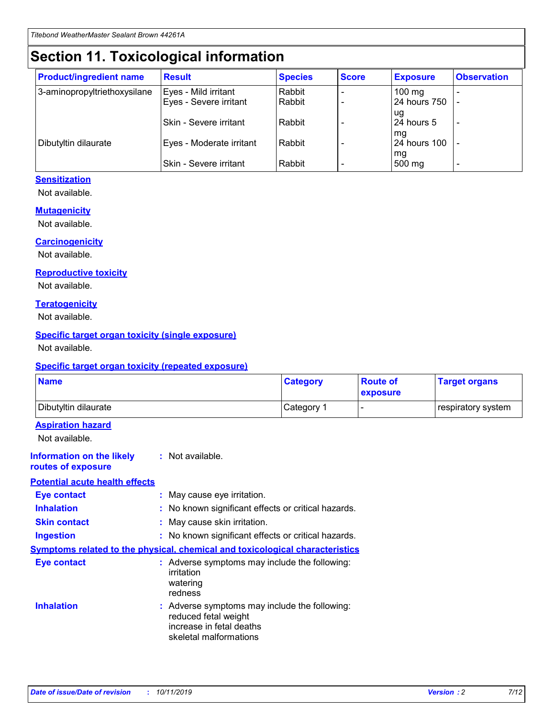## **Section 11. Toxicological information**

| <b>Product/ingredient name</b> | <b>Result</b>                 | <b>Species</b> | <b>Score</b> | <b>Exposure</b>    | <b>Observation</b> |
|--------------------------------|-------------------------------|----------------|--------------|--------------------|--------------------|
| 3-aminopropyltriethoxysilane   | Eyes - Mild irritant          | Rabbit         |              | $100$ mg           |                    |
|                                | Eyes - Severe irritant        | Rabbit         |              | 24 hours 750       |                    |
|                                |                               |                |              | ug                 |                    |
|                                | <b>Skin - Severe irritant</b> | Rabbit         |              | 24 hours 5         | ۰                  |
| Dibutyltin dilaurate           | Eyes - Moderate irritant      | Rabbit         |              | mq<br>24 hours 100 |                    |
|                                |                               |                |              | mg                 |                    |
|                                | Skin - Severe irritant        | Rabbit         |              | 500 mg             |                    |

### **Sensitization**

Not available.

#### **Mutagenicity**

Not available.

#### **Carcinogenicity**

Not available.

#### **Reproductive toxicity**

Not available.

#### **Teratogenicity**

Not available.

#### **Specific target organ toxicity (single exposure)**

Not available.

#### **Specific target organ toxicity (repeated exposure)**

| <b>Name</b>                                                                         |                                                                            | <b>Category</b>                                     | <b>Route of</b><br>exposure | <b>Target organs</b> |
|-------------------------------------------------------------------------------------|----------------------------------------------------------------------------|-----------------------------------------------------|-----------------------------|----------------------|
| Dibutyltin dilaurate                                                                |                                                                            | Category 1                                          |                             | respiratory system   |
| <b>Aspiration hazard</b><br>Not available.                                          |                                                                            |                                                     |                             |                      |
| <b>Information on the likely</b><br>routes of exposure                              | : Not available.                                                           |                                                     |                             |                      |
| <b>Potential acute health effects</b>                                               |                                                                            |                                                     |                             |                      |
| <b>Eye contact</b>                                                                  | : May cause eye irritation.                                                |                                                     |                             |                      |
| <b>Inhalation</b>                                                                   |                                                                            | : No known significant effects or critical hazards. |                             |                      |
| <b>Skin contact</b>                                                                 | : May cause skin irritation.                                               |                                                     |                             |                      |
| <b>Ingestion</b>                                                                    |                                                                            | : No known significant effects or critical hazards. |                             |                      |
| <b>Symptoms related to the physical, chemical and toxicological characteristics</b> |                                                                            |                                                     |                             |                      |
| <b>Eye contact</b>                                                                  | irritation<br>watering<br>redness                                          | : Adverse symptoms may include the following:       |                             |                      |
| <b>Inhalation</b>                                                                   | reduced fetal weight<br>increase in fetal deaths<br>skeletal malformations | : Adverse symptoms may include the following:       |                             |                      |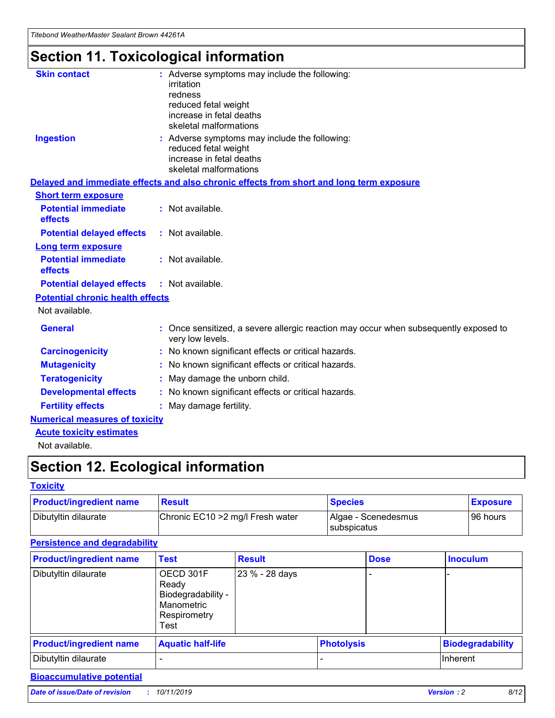# **Section 11. Toxicological information**

| <b>Skin contact</b>                     | : Adverse symptoms may include the following:<br>irritation<br>redness<br>reduced fetal weight<br>increase in fetal deaths<br>skeletal malformations |
|-----------------------------------------|------------------------------------------------------------------------------------------------------------------------------------------------------|
| <b>Ingestion</b>                        | : Adverse symptoms may include the following:<br>reduced fetal weight<br>increase in fetal deaths<br>skeletal malformations                          |
|                                         | Delayed and immediate effects and also chronic effects from short and long term exposure                                                             |
| <b>Short term exposure</b>              |                                                                                                                                                      |
| <b>Potential immediate</b><br>effects   | : Not available.                                                                                                                                     |
| <b>Potential delayed effects</b>        | : Not available.                                                                                                                                     |
| <b>Long term exposure</b>               |                                                                                                                                                      |
| <b>Potential immediate</b><br>effects   | : Not available.                                                                                                                                     |
| <b>Potential delayed effects</b>        | : Not available.                                                                                                                                     |
| <b>Potential chronic health effects</b> |                                                                                                                                                      |
| Not available.                          |                                                                                                                                                      |
| <b>General</b>                          | : Once sensitized, a severe allergic reaction may occur when subsequently exposed to<br>very low levels.                                             |
| <b>Carcinogenicity</b>                  | : No known significant effects or critical hazards.                                                                                                  |
| <b>Mutagenicity</b>                     | No known significant effects or critical hazards.                                                                                                    |
| <b>Teratogenicity</b>                   | May damage the unborn child.                                                                                                                         |
| <b>Developmental effects</b>            | No known significant effects or critical hazards.                                                                                                    |
| <b>Fertility effects</b>                | : May damage fertility.                                                                                                                              |
| <b>Numerical measures of toxicity</b>   |                                                                                                                                                      |
| <b>Acute toxicity estimates</b>         |                                                                                                                                                      |
|                                         |                                                                                                                                                      |

Not available.

## **Section 12. Ecological information**

#### **Toxicity**

| <b>Product/ingredient name</b> | <b>Result</b>                     | <b>Species</b>                       | <b>Exposure</b> |
|--------------------------------|-----------------------------------|--------------------------------------|-----------------|
| Dibutyltin dilaurate           | Chronic EC10 > 2 mg/l Fresh water | Algae - Scenedesmus<br>I subspicatus | l 96 hours      |

### **Persistence and degradability**

| <b>Product/ingredient name</b> | <b>Test</b>                                                                    | <b>Result</b>  |                   | <b>Dose</b> | <b>Inoculum</b>         |
|--------------------------------|--------------------------------------------------------------------------------|----------------|-------------------|-------------|-------------------------|
| Dibutyltin dilaurate           | OECD 301F<br>Ready<br>Biodegradability -<br>Manometric<br>Respirometry<br>Test | 23 % - 28 days |                   |             |                         |
| <b>Product/ingredient name</b> | <b>Aquatic half-life</b>                                                       |                | <b>Photolysis</b> |             | <b>Biodegradability</b> |
| Dibutyltin dilaurate           |                                                                                |                |                   |             | Inherent                |

### **Bioaccumulative potential**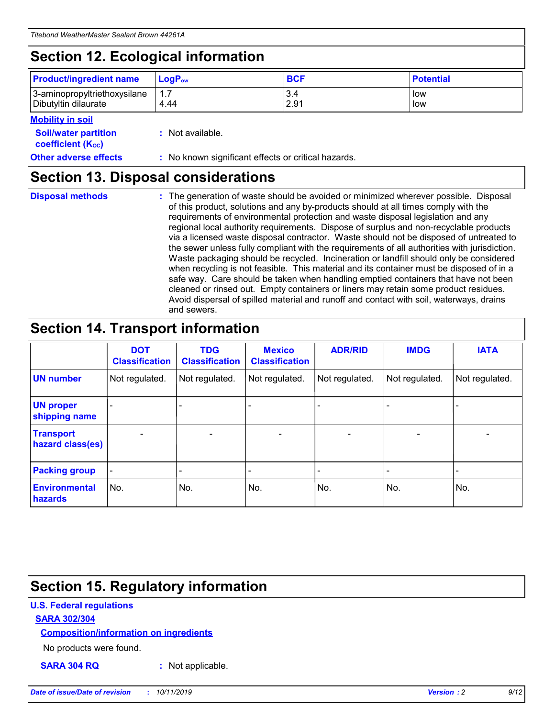## **Section 12. Ecological information**

| <b>Product/ingredient name</b> | $LoaPow$ | <b>BCF</b> | <b>Potential</b> |
|--------------------------------|----------|------------|------------------|
| 3-aminopropyltriethoxysilane   | 1.7      | 3.4        | low              |
| Dibutyltin dilaurate           | 4.44     | 2.91       | low              |

#### **Mobility in soil**

| <b>Soil/water partition</b><br>coefficient (K <sub>oc</sub> ) | : Not available.                                    |
|---------------------------------------------------------------|-----------------------------------------------------|
| <b>Other adverse effects</b>                                  | : No known significant effects or critical hazards. |

### **Section 13. Disposal considerations**

**Disposal methods :**

The generation of waste should be avoided or minimized wherever possible. Disposal of this product, solutions and any by-products should at all times comply with the requirements of environmental protection and waste disposal legislation and any regional local authority requirements. Dispose of surplus and non-recyclable products via a licensed waste disposal contractor. Waste should not be disposed of untreated to the sewer unless fully compliant with the requirements of all authorities with jurisdiction. Waste packaging should be recycled. Incineration or landfill should only be considered when recycling is not feasible. This material and its container must be disposed of in a safe way. Care should be taken when handling emptied containers that have not been cleaned or rinsed out. Empty containers or liners may retain some product residues. Avoid dispersal of spilled material and runoff and contact with soil, waterways, drains and sewers.

## **Section 14. Transport information**

|                                      | <b>DOT</b><br><b>Classification</b> | <b>TDG</b><br><b>Classification</b> | <b>Mexico</b><br><b>Classification</b> | <b>ADR/RID</b> | <b>IMDG</b>              | <b>IATA</b>              |
|--------------------------------------|-------------------------------------|-------------------------------------|----------------------------------------|----------------|--------------------------|--------------------------|
| <b>UN number</b>                     | Not regulated.                      | Not regulated.                      | Not regulated.                         | Not regulated. | Not regulated.           | Not regulated.           |
| <b>UN proper</b><br>shipping name    | $\blacksquare$                      |                                     |                                        |                |                          |                          |
| <b>Transport</b><br>hazard class(es) | $\blacksquare$                      | $\overline{\phantom{a}}$            | $\blacksquare$                         | $\blacksquare$ | $\overline{\phantom{a}}$ | $\overline{\phantom{0}}$ |
| <b>Packing group</b>                 | $\overline{\phantom{a}}$            | $\overline{\phantom{0}}$            | $\overline{\phantom{a}}$               | -              | $\overline{\phantom{0}}$ | $\overline{\phantom{a}}$ |
| <b>Environmental</b><br>hazards      | No.                                 | No.                                 | No.                                    | No.            | No.                      | No.                      |

## **Section 15. Regulatory information**

#### **U.S. Federal regulations**

#### **SARA 302/304**

#### **Composition/information on ingredients**

No products were found.

**SARA 304 RQ :** Not applicable.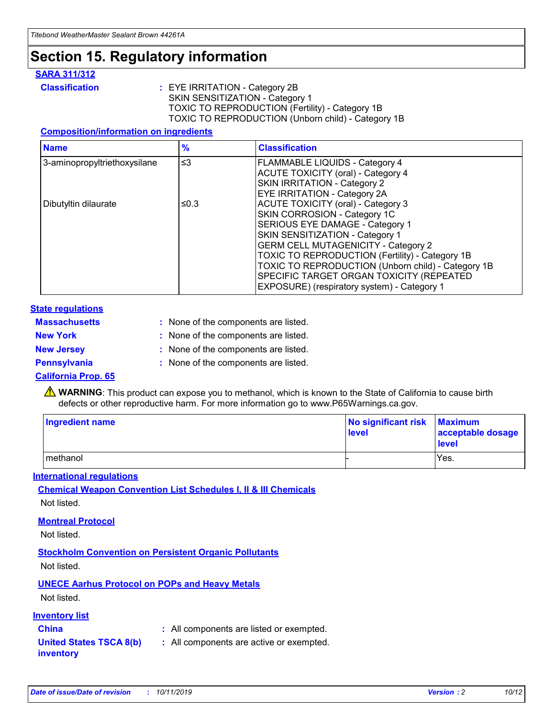## **Section 15. Regulatory information**

#### **SARA 311/312**

**Classification :** EYE IRRITATION - Category 2B SKIN SENSITIZATION - Category 1 TOXIC TO REPRODUCTION (Fertility) - Category 1B TOXIC TO REPRODUCTION (Unborn child) - Category 1B

#### **Composition/information on ingredients**

| <b>Name</b>                              | $\frac{9}{6}$ | <b>Classification</b>                                  |
|------------------------------------------|---------------|--------------------------------------------------------|
| $\leq$ 3<br>3-aminopropyltriethoxysilane |               | <b>FLAMMABLE LIQUIDS - Category 4</b>                  |
|                                          |               | <b>ACUTE TOXICITY (oral) - Category 4</b>              |
|                                          |               | SKIN IRRITATION - Category 2                           |
|                                          |               | EYE IRRITATION - Category 2A                           |
| Dibutyltin dilaurate                     | ≤0.3          | <b>ACUTE TOXICITY (oral) - Category 3</b>              |
|                                          |               | SKIN CORROSION - Category 1C                           |
|                                          |               | SERIOUS EYE DAMAGE - Category 1                        |
|                                          |               | SKIN SENSITIZATION - Category 1                        |
|                                          |               | <b>GERM CELL MUTAGENICITY - Category 2</b>             |
|                                          |               | <b>TOXIC TO REPRODUCTION (Fertility) - Category 1B</b> |
|                                          |               | TOXIC TO REPRODUCTION (Unborn child) - Category 1B     |
|                                          |               | SPECIFIC TARGET ORGAN TOXICITY (REPEATED               |
|                                          |               | EXPOSURE) (respiratory system) - Category 1            |

#### **State regulations**

| <b>Massachusetts</b> | : None of the components are listed. |
|----------------------|--------------------------------------|
| <b>New York</b>      | : None of the components are listed. |
| <b>New Jersey</b>    | : None of the components are listed. |
| <b>Pennsylvania</b>  | : None of the components are listed. |

#### **California Prop. 65**

**A** WARNING: This product can expose you to methanol, which is known to the State of California to cause birth defects or other reproductive harm. For more information go to www.P65Warnings.ca.gov.

| <b>Ingredient name</b> | No significant risk Maximum<br>level | acceptable dosage<br>level |
|------------------------|--------------------------------------|----------------------------|
| methanol               |                                      | Yes.                       |

#### **International regulations**

**Chemical Weapon Convention List Schedules I, II & III Chemicals** Not listed.

#### **Montreal Protocol**

Not listed.

#### **Stockholm Convention on Persistent Organic Pollutants**

Not listed.

### **UNECE Aarhus Protocol on POPs and Heavy Metals**

Not listed.

#### **Inventory list**

### **China :** All components are listed or exempted.

**United States TSCA 8(b) inventory :** All components are active or exempted.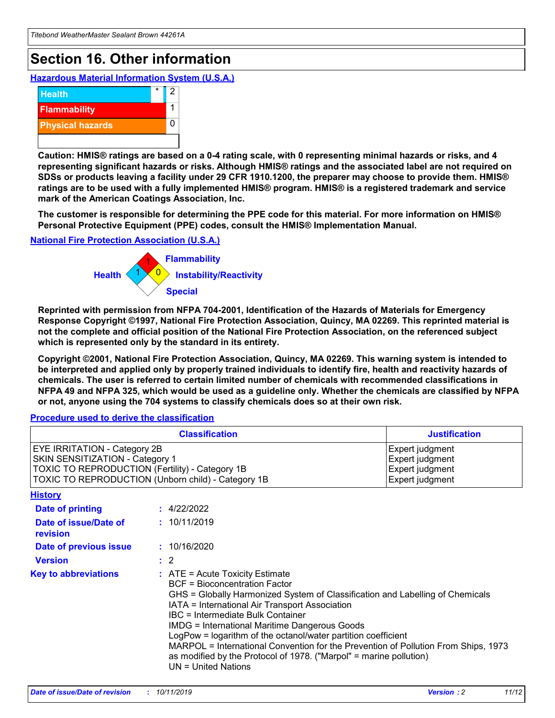## **Section 16. Other information**

**Hazardous Material Information System (U.S.A.)**



**Caution: HMIS® ratings are based on a 0-4 rating scale, with 0 representing minimal hazards or risks, and 4 representing significant hazards or risks. Although HMIS® ratings and the associated label are not required on SDSs or products leaving a facility under 29 CFR 1910.1200, the preparer may choose to provide them. HMIS® ratings are to be used with a fully implemented HMIS® program. HMIS® is a registered trademark and service mark of the American Coatings Association, Inc.**

**The customer is responsible for determining the PPE code for this material. For more information on HMIS® Personal Protective Equipment (PPE) codes, consult the HMIS® Implementation Manual.**

#### **National Fire Protection Association (U.S.A.)**



**Reprinted with permission from NFPA 704-2001, Identification of the Hazards of Materials for Emergency Response Copyright ©1997, National Fire Protection Association, Quincy, MA 02269. This reprinted material is not the complete and official position of the National Fire Protection Association, on the referenced subject which is represented only by the standard in its entirety.**

**Copyright ©2001, National Fire Protection Association, Quincy, MA 02269. This warning system is intended to be interpreted and applied only by properly trained individuals to identify fire, health and reactivity hazards of chemicals. The user is referred to certain limited number of chemicals with recommended classifications in NFPA 49 and NFPA 325, which would be used as a guideline only. Whether the chemicals are classified by NFPA or not, anyone using the 704 systems to classify chemicals does so at their own risk.**

**Procedure used to derive the classification**

| <b>Classification</b>                                                                                                                                                    |                                                                                                                                                  | <b>Justification</b>                                                                                                                                                                                                                                                                                                                                                                                                 |  |
|--------------------------------------------------------------------------------------------------------------------------------------------------------------------------|--------------------------------------------------------------------------------------------------------------------------------------------------|----------------------------------------------------------------------------------------------------------------------------------------------------------------------------------------------------------------------------------------------------------------------------------------------------------------------------------------------------------------------------------------------------------------------|--|
| EYE IRRITATION - Category 2B<br>SKIN SENSITIZATION - Category 1<br>TOXIC TO REPRODUCTION (Fertility) - Category 1B<br>TOXIC TO REPRODUCTION (Unborn child) - Category 1B |                                                                                                                                                  | Expert judgment<br>Expert judgment<br>Expert judgment<br>Expert judgment                                                                                                                                                                                                                                                                                                                                             |  |
| <b>History</b>                                                                                                                                                           |                                                                                                                                                  |                                                                                                                                                                                                                                                                                                                                                                                                                      |  |
| Date of printing                                                                                                                                                         | : 4/22/2022                                                                                                                                      |                                                                                                                                                                                                                                                                                                                                                                                                                      |  |
| Date of issue/Date of<br>revision                                                                                                                                        | : 10/11/2019                                                                                                                                     |                                                                                                                                                                                                                                                                                                                                                                                                                      |  |
| Date of previous issue                                                                                                                                                   | : 10/16/2020                                                                                                                                     |                                                                                                                                                                                                                                                                                                                                                                                                                      |  |
| <b>Version</b>                                                                                                                                                           | $\therefore$ 2                                                                                                                                   |                                                                                                                                                                                                                                                                                                                                                                                                                      |  |
| <b>Key to abbreviations</b>                                                                                                                                              | $\therefore$ ATE = Acute Toxicity Estimate<br><b>BCF</b> = Bioconcentration Factor<br>IBC = Intermediate Bulk Container<br>$UN = United Nations$ | GHS = Globally Harmonized System of Classification and Labelling of Chemicals<br>IATA = International Air Transport Association<br><b>IMDG = International Maritime Dangerous Goods</b><br>LogPow = logarithm of the octanol/water partition coefficient<br>MARPOL = International Convention for the Prevention of Pollution From Ships, 1973<br>as modified by the Protocol of 1978. ("Marpol" = marine pollution) |  |